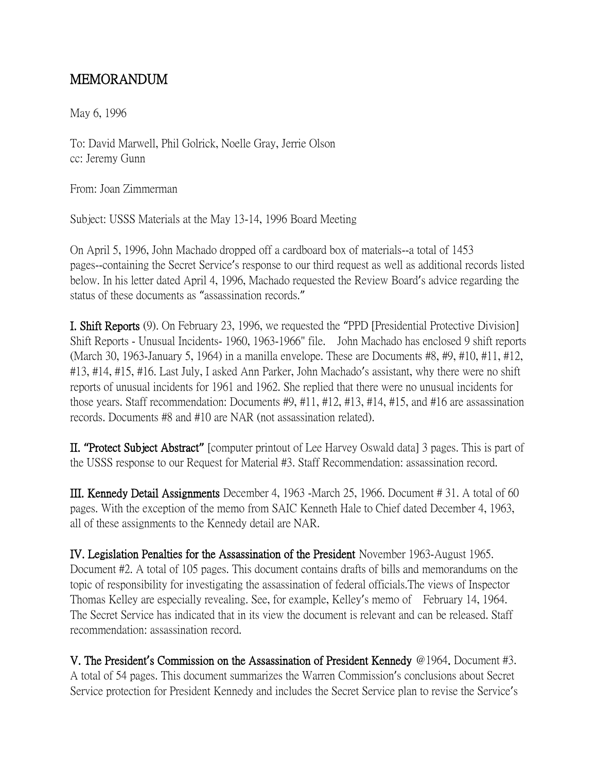## MEMORANDUM

May 6, 1996

To: David Marwell, Phil Golrick, Noelle Gray, Jerrie Olson cc: Jeremy Gunn

From: Joan Zimmerman

Subject: USSS Materials at the May 13-14, 1996 Board Meeting

On April 5, 1996, John Machado dropped off a cardboard box of materials--a total of 1453 pages--containing the Secret Service's response to our third request as well as additional records listed below. In his letter dated April 4, 1996, Machado requested the Review Board's advice regarding the status of these documents as "assassination records."

I. Shift Reports (9). On February 23, 1996, we requested the "PPD [Presidential Protective Division] Shift Reports - Unusual Incidents- 1960, 1963-1966" file. John Machado has enclosed 9 shift reports (March 30, 1963-January 5, 1964) in a manilla envelope. These are Documents #8, #9, #10, #11, #12, #13, #14, #15, #16. Last July, I asked Ann Parker, John Machado's assistant, why there were no shift reports of unusual incidents for 1961 and 1962. She replied that there were no unusual incidents for those years. Staff recommendation: Documents #9, #11, #12, #13, #14, #15, and #16 are assassination records. Documents #8 and #10 are NAR (not assassination related).

II. **"**Protect Subject Abstract**"** [computer printout of Lee Harvey Oswald data] 3 pages. This is part of the USSS response to our Request for Material #3. Staff Recommendation: assassination record.

III. Kennedy Detail Assignments December 4, 1963 -March 25, 1966. Document # 31. A total of 60 pages. With the exception of the memo from SAIC Kenneth Hale to Chief dated December 4, 1963, all of these assignments to the Kennedy detail are NAR.

IV. Legislation Penalties for the Assassination of the President November 1963-August 1965. Document #2. A total of 105 pages. This document contains drafts of bills and memorandums on the topic of responsibility for investigating the assassination of federal officials.The views of Inspector Thomas Kelley are especially revealing. See, for example, Kelley's memo of February 14, 1964. The Secret Service has indicated that in its view the document is relevant and can be released. Staff recommendation: assassination record.

V. The President**'**s Commission on the Assassination of President Kennedy @1964. Document #3. A total of 54 pages. This document summarizes the Warren Commission's conclusions about Secret Service protection for President Kennedy and includes the Secret Service plan to revise the Service's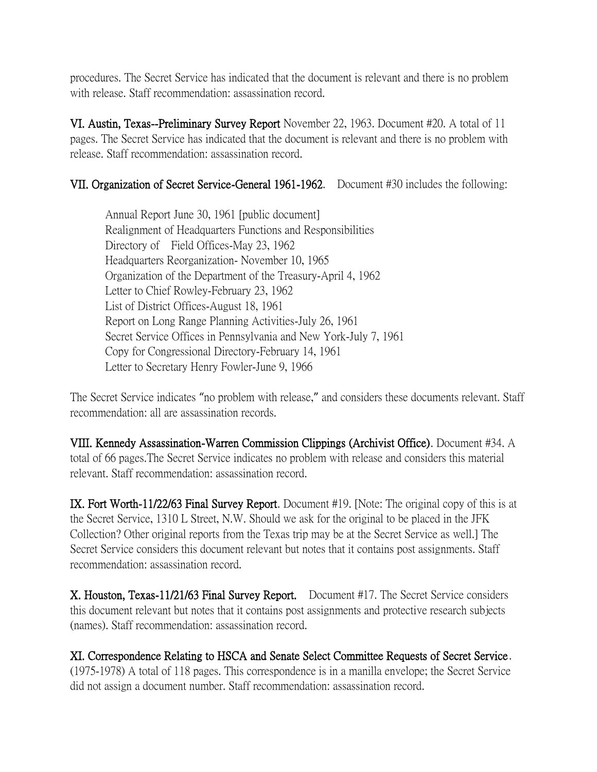procedures. The Secret Service has indicated that the document is relevant and there is no problem with release. Staff recommendation: assassination record.

VI. Austin, Texas--Preliminary Survey Report November 22, 1963. Document #20. A total of 11 pages. The Secret Service has indicated that the document is relevant and there is no problem with release. Staff recommendation: assassination record.

## VII. Organization of Secret Service-General 1961-1962. Document #30 includes the following:

Annual Report June 30, 1961 [public document] Realignment of Headquarters Functions and Responsibilities Directory of Field Offices-May 23, 1962 Headquarters Reorganization- November 10, 1965 Organization of the Department of the Treasury-April 4, 1962 Letter to Chief Rowley-February 23, 1962 List of District Offices-August 18, 1961 Report on Long Range Planning Activities-July 26, 1961 Secret Service Offices in Pennsylvania and New York-July 7, 1961 Copy for Congressional Directory-February 14, 1961 Letter to Secretary Henry Fowler-June 9, 1966

The Secret Service indicates "no problem with release," and considers these documents relevant. Staff recommendation: all are assassination records.

VIII. Kennedy Assassination-Warren Commission Clippings (Archivist Office). Document #34. A total of 66 pages.The Secret Service indicates no problem with release and considers this material relevant. Staff recommendation: assassination record.

IX. Fort Worth-11/22/63 Final Survey Report. Document #19. [Note: The original copy of this is at the Secret Service, 1310 L Street, N.W. Should we ask for the original to be placed in the JFK Collection? Other original reports from the Texas trip may be at the Secret Service as well.] The Secret Service considers this document relevant but notes that it contains post assignments. Staff recommendation: assassination record.

X. Houston, Texas-11/21/63 Final Survey Report. Document #17. The Secret Service considers this document relevant but notes that it contains post assignments and protective research subjects (names). Staff recommendation: assassination record.

XI. Correspondence Relating to HSCA and Senate Select Committee Requests of Secret Service . (1975-1978) A total of 118 pages. This correspondence is in a manilla envelope; the Secret Service did not assign a document number. Staff recommendation: assassination record.